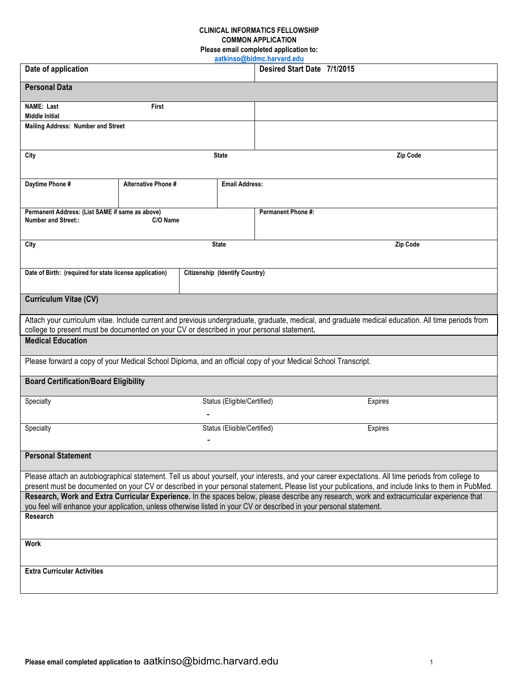## **CLINICAL INFORMATICS FELLOWSHIP COMMON APPLICATION Please email completed application to:**

| aatkinso@bidmc.harvard.edu                                                                                            |                     |                                       |                             |                                                                                                                                                                                                                                                                    |  |  |  |  |
|-----------------------------------------------------------------------------------------------------------------------|---------------------|---------------------------------------|-----------------------------|--------------------------------------------------------------------------------------------------------------------------------------------------------------------------------------------------------------------------------------------------------------------|--|--|--|--|
| Date of application                                                                                                   |                     |                                       |                             | Desired Start Date 7/1/2015                                                                                                                                                                                                                                        |  |  |  |  |
| <b>Personal Data</b>                                                                                                  |                     |                                       |                             |                                                                                                                                                                                                                                                                    |  |  |  |  |
| <b>NAME: Last</b>                                                                                                     | <b>First</b>        |                                       |                             |                                                                                                                                                                                                                                                                    |  |  |  |  |
| <b>Middle Initial</b>                                                                                                 |                     |                                       |                             |                                                                                                                                                                                                                                                                    |  |  |  |  |
| <b>Mailing Address: Number and Street</b>                                                                             |                     |                                       |                             |                                                                                                                                                                                                                                                                    |  |  |  |  |
| <b>State</b><br>City                                                                                                  |                     |                                       |                             | Zip Code                                                                                                                                                                                                                                                           |  |  |  |  |
| Daytime Phone #                                                                                                       | Alternative Phone # |                                       | <b>Email Address:</b>       |                                                                                                                                                                                                                                                                    |  |  |  |  |
| Permanent Address: (List SAME if same as above)                                                                       |                     |                                       |                             | <b>Permanent Phone #:</b>                                                                                                                                                                                                                                          |  |  |  |  |
| <b>Number and Street::</b>                                                                                            | C/O Name            |                                       |                             |                                                                                                                                                                                                                                                                    |  |  |  |  |
| City                                                                                                                  |                     | <b>State</b>                          |                             | Zip Code                                                                                                                                                                                                                                                           |  |  |  |  |
|                                                                                                                       |                     |                                       |                             |                                                                                                                                                                                                                                                                    |  |  |  |  |
| Date of Birth: (required for state license application)                                                               |                     | <b>Citizenship (Identify Country)</b> |                             |                                                                                                                                                                                                                                                                    |  |  |  |  |
| Curriculum Vitae (CV)                                                                                                 |                     |                                       |                             |                                                                                                                                                                                                                                                                    |  |  |  |  |
|                                                                                                                       |                     |                                       |                             | Attach your curriculum vitae. Include current and previous undergraduate, graduate, medical, and graduate medical education. All time periods from                                                                                                                 |  |  |  |  |
| college to present must be documented on your CV or described in your personal statement.<br><b>Medical Education</b> |                     |                                       |                             |                                                                                                                                                                                                                                                                    |  |  |  |  |
|                                                                                                                       |                     |                                       |                             |                                                                                                                                                                                                                                                                    |  |  |  |  |
| Please forward a copy of your Medical School Diploma, and an official copy of your Medical School Transcript.         |                     |                                       |                             |                                                                                                                                                                                                                                                                    |  |  |  |  |
| <b>Board Certification/Board Eligibility</b>                                                                          |                     |                                       |                             |                                                                                                                                                                                                                                                                    |  |  |  |  |
| Specialty                                                                                                             |                     |                                       | Status (Eligible/Certified) | <b>Expires</b>                                                                                                                                                                                                                                                     |  |  |  |  |
|                                                                                                                       |                     |                                       |                             |                                                                                                                                                                                                                                                                    |  |  |  |  |
| Specialty                                                                                                             |                     |                                       | Status (Fligible/Certified) | Expires                                                                                                                                                                                                                                                            |  |  |  |  |
|                                                                                                                       |                     | $\blacksquare$                        |                             |                                                                                                                                                                                                                                                                    |  |  |  |  |
| <b>Personal Statement</b>                                                                                             |                     |                                       |                             |                                                                                                                                                                                                                                                                    |  |  |  |  |
|                                                                                                                       |                     |                                       |                             | Please attach an autobiographical statement. Tell us about yourself, your interests, and your career expectations. All time periods from college to                                                                                                                |  |  |  |  |
|                                                                                                                       |                     |                                       |                             | present must be documented on your CV or described in your personal statement. Please list your publications, and include links to them in PubMed.                                                                                                                 |  |  |  |  |
|                                                                                                                       |                     |                                       |                             | Research, Work and Extra Curricular Experience. In the spaces below, please describe any research, work and extracurricular experience that<br>you feel will enhance your application, unless otherwise listed in your CV or described in your personal statement. |  |  |  |  |
| Research                                                                                                              |                     |                                       |                             |                                                                                                                                                                                                                                                                    |  |  |  |  |
| Work                                                                                                                  |                     |                                       |                             |                                                                                                                                                                                                                                                                    |  |  |  |  |
| <b>Extra Curricular Activities</b>                                                                                    |                     |                                       |                             |                                                                                                                                                                                                                                                                    |  |  |  |  |
|                                                                                                                       |                     |                                       |                             |                                                                                                                                                                                                                                                                    |  |  |  |  |
|                                                                                                                       |                     |                                       |                             |                                                                                                                                                                                                                                                                    |  |  |  |  |